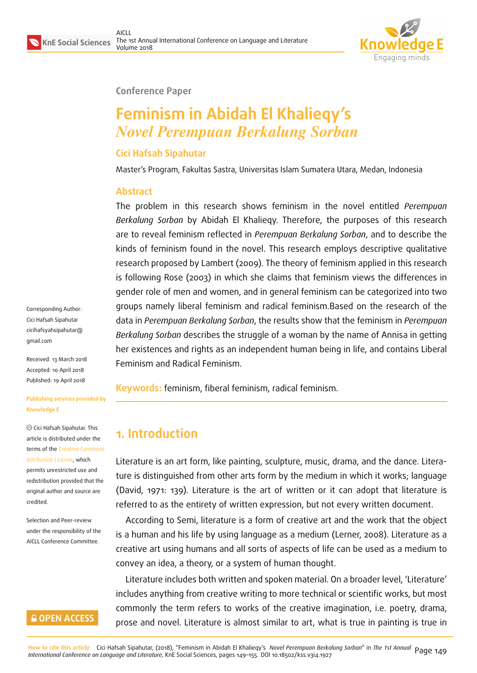

#### **Conference Paper**

# **Feminism in Abidah El Khalieqy's** *Novel Perempuan Berkalung Sorban*

#### **Cici Hafsah Sipahutar**

Master's Program, Fakultas Sastra, Universitas Islam Sumatera Utara, Medan, Indonesia

#### **Abstract**

The problem in this research shows feminism in the novel entitled *Perempuan Berkalung Sorban* by Abidah El Khalieqy. Therefore, the purposes of this research are to reveal feminism reflected in *Perempuan Berkalung Sorban*, and to describe the kinds of feminism found in the novel. This research employs descriptive qualitative research proposed by Lambert (2009). The theory of feminism applied in this research is following Rose (2003) in which she claims that feminism views the differences in gender role of men and women, and in general feminism can be categorized into two groups namely liberal feminism and radical feminism.Based on the research of the data in *Perempuan Berkalung Sorban*, the results show that the feminism in *Perempuan Berkalung Sorban* describes the struggle of a woman by the name of Annisa in getting her existences and rights as an independent human being in life, and contains Liberal Feminism and Radical Feminism.

**Keywords:** feminism, fiberal feminism, radical feminism.

# **1. Introduction**

Literature is an art form, like painting, sculpture, music, drama, and the dance. Literature is distinguished from other arts form by the medium in which it works; language (David, 1971: 139). Literature is the art of written or it can adopt that literature is referred to as the entirety of written expression, but not every written document.

According to Semi, literature is a form of creative art and the work that the object is a human and his life by using language as a medium (Lerner, 2008). Literature as a creative art using humans and all sorts of aspects of life can be used as a medium to convey an idea, a theory, or a system of human thought.

Literature includes both written and spoken material. On a broader level, 'Literature' includes anything from creative writing to more technical or scientific works, but most commonly the term refers to works of the creative imagination, i.e. poetry, drama, prose and novel. Literature is almost similar to art, what is true in painting is true in

Corresponding Author: Cici Hafsah Sipahutar cicihafsyahsipahutar@ gmail.com

Received: 13 March 2018 [Accepted: 10 April 2018](mailto:cicihafsyahsipahutar@gmail.com) [Published:](mailto:cicihafsyahsipahutar@gmail.com) 19 April 2018

**Publishing services provided by Knowledge E**

Cici Hafsah Sipahutar. This article is distributed under the terms of the Creative Commons

Attribution License, which permits unrestricted use and redistribution provided that the original auth[or and source are](https://creativecommons.org/licenses/by/4.0/) [credited.](https://creativecommons.org/licenses/by/4.0/)

Selection and Peer-review under the responsibility of the AICLL Conference Committee.

#### **GOPEN ACCESS**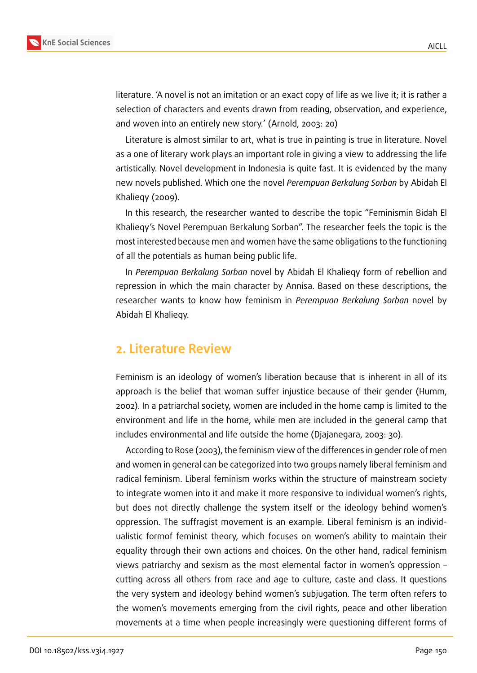

literature. 'A novel is not an imitation or an exact copy of life as we live it; it is rather a selection of characters and events drawn from reading, observation, and experience, and woven into an entirely new story.' (Arnold, 2003: 20)

Literature is almost similar to art, what is true in painting is true in literature. Novel as a one of literary work plays an important role in giving a view to addressing the life artistically. Novel development in Indonesia is quite fast. It is evidenced by the many new novels published. Which one the novel *Perempuan Berkalung Sorban* by Abidah El Khalieqy (2009).

In this research, the researcher wanted to describe the topic "Feminismin Bidah El Khalieqy's Novel Perempuan Berkalung Sorban". The researcher feels the topic is the most interested because men and women have the same obligations to the functioning of all the potentials as human being public life.

In *Perempuan Berkalung Sorban* novel by Abidah El Khalieqy form of rebellion and repression in which the main character by Annisa. Based on these descriptions, the researcher wants to know how feminism in *Perempuan Berkalung Sorban* novel by Abidah El Khalieqy.

#### **2. Literature Review**

Feminism is an ideology of women's liberation because that is inherent in all of its approach is the belief that woman suffer injustice because of their gender (Humm, 2002). In a patriarchal society, women are included in the home camp is limited to the environment and life in the home, while men are included in the general camp that includes environmental and life outside the home (Djajanegara, 2003: 30).

According to Rose (2003), the feminism view of the differences in gender role of men and women in general can be categorized into two groups namely liberal feminism and radical feminism. Liberal feminism works within the structure of mainstream society to integrate women into it and make it more responsive to individual women's rights, but does not directly challenge the system itself or the ideology behind women's oppression. The suffragist movement is an example. Liberal feminism is an individualistic formof feminist theory, which focuses on women's ability to maintain their equality through their own actions and choices. On the other hand, radical feminism views patriarchy and sexism as the most elemental factor in women's oppression – cutting across all others from race and age to culture, caste and class. It questions the very system and ideology behind women's subjugation. The term often refers to the women's movements emerging from the civil rights, peace and other liberation movements at a time when people increasingly were questioning different forms of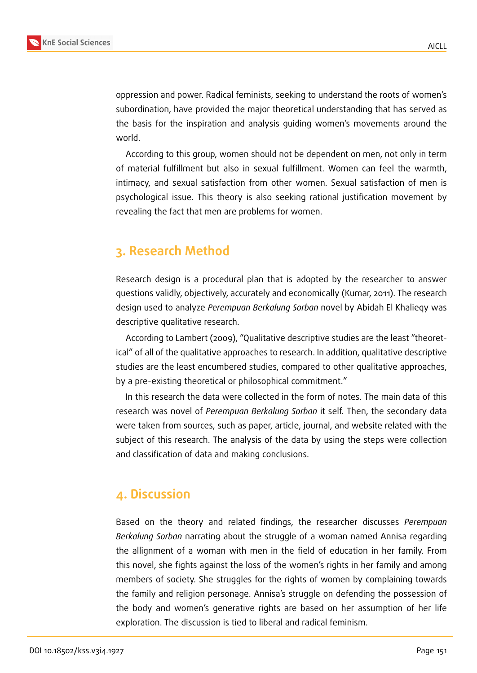

oppression and power. Radical feminists, seeking to understand the roots of women's subordination, have provided the major theoretical understanding that has served as the basis for the inspiration and analysis guiding women's movements around the world.

According to this group, women should not be dependent on men, not only in term of material fulfillment but also in sexual fulfillment. Women can feel the warmth, intimacy, and sexual satisfaction from other women. Sexual satisfaction of men is psychological issue. This theory is also seeking rational justification movement by revealing the fact that men are problems for women.

# **3. Research Method**

Research design is a procedural plan that is adopted by the researcher to answer questions validly, objectively, accurately and economically (Kumar, 2011). The research design used to analyze *Perempuan Berkalung Sorban* novel by Abidah El Khalieqy was descriptive qualitative research.

According to Lambert (2009), "Qualitative descriptive studies are the least "theoretical" of all of the qualitative approaches to research. In addition, qualitative descriptive studies are the least encumbered studies, compared to other qualitative approaches, by a pre-existing theoretical or philosophical commitment."

In this research the data were collected in the form of notes. The main data of this research was novel of *Perempuan Berkalung Sorban* it self. Then, the secondary data were taken from sources, such as paper, article, journal, and website related with the subject of this research. The analysis of the data by using the steps were collection and classification of data and making conclusions.

# **4. Discussion**

Based on the theory and related findings, the researcher discusses *Perempuan Berkalung Sorban* narrating about the struggle of a woman named Annisa regarding the allignment of a woman with men in the field of education in her family. From this novel, she fights against the loss of the women's rights in her family and among members of society. She struggles for the rights of women by complaining towards the family and religion personage. Annisa's struggle on defending the possession of the body and women's generative rights are based on her assumption of her life exploration. The discussion is tied to liberal and radical feminism.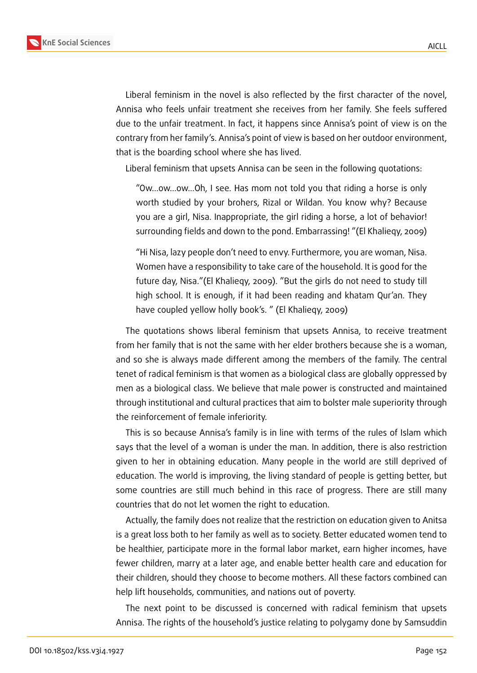

Liberal feminism in the novel is also reflected by the first character of the novel, Annisa who feels unfair treatment she receives from her family. She feels suffered due to the unfair treatment. In fact, it happens since Annisa's point of view is on the contrary from her family's. Annisa's point of view is based on her outdoor environment, that is the boarding school where she has lived.

Liberal feminism that upsets Annisa can be seen in the following quotations:

"Ow...ow...ow...Oh, I see. Has mom not told you that riding a horse is only worth studied by your brohers, Rizal or Wildan. You know why? Because you are a girl, Nisa. Inappropriate, the girl riding a horse, a lot of behavior! surrounding fields and down to the pond. Embarrassing! "(El Khalieqy, 2009)

"Hi Nisa, lazy people don't need to envy. Furthermore, you are woman, Nisa. Women have a responsibility to take care of the household. It is good for the future day, Nisa."(El Khalieqy, 2009). "But the girls do not need to study till high school. It is enough, if it had been reading and khatam Qur'an. They have coupled yellow holly book's. " (El Khalieqy, 2009)

The quotations shows liberal feminism that upsets Annisa, to receive treatment from her family that is not the same with her elder brothers because she is a woman, and so she is always made different among the members of the family. The central tenet of radical feminism is that women as a biological class are globally oppressed by men as a biological class. We believe that male power is constructed and maintained through institutional and cultural practices that aim to bolster male superiority through the reinforcement of female inferiority.

This is so because Annisa's family is in line with terms of the rules of Islam which says that the level of a woman is under the man. In addition, there is also restriction given to her in obtaining education. Many people in the world are still deprived of education. The world is improving, the living standard of people is getting better, but some countries are still much behind in this race of progress. There are still many countries that do not let women the right to education.

Actually, the family does not realize that the restriction on education given to Anitsa is a great loss both to her family as well as to society. Better educated women tend to be healthier, participate more in the formal labor market, earn higher incomes, have fewer children, marry at a later age, and enable better health care and education for their children, should they choose to become mothers. All these factors combined can help lift households, communities, and nations out of poverty.

The next point to be discussed is concerned with radical feminism that upsets Annisa. The rights of the household's justice relating to polygamy done by Samsuddin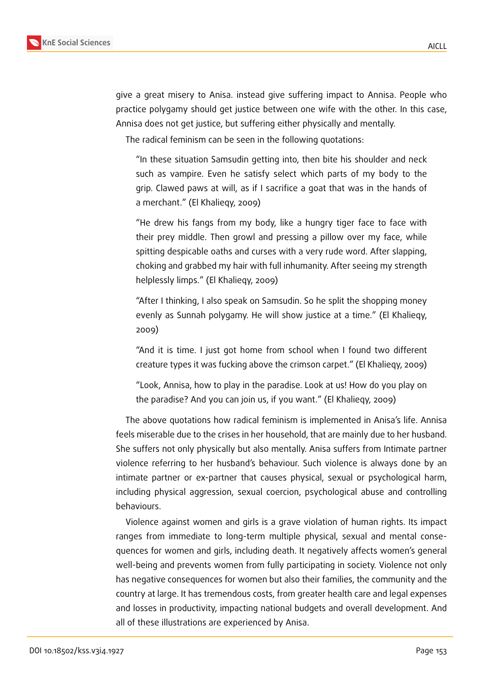

give a great misery to Anisa. instead give suffering impact to Annisa. People who practice polygamy should get justice between one wife with the other. In this case, Annisa does not get justice, but suffering either physically and mentally.

The radical feminism can be seen in the following quotations:

"In these situation Samsudin getting into, then bite his shoulder and neck such as vampire. Even he satisfy select which parts of my body to the grip. Clawed paws at will, as if I sacrifice a goat that was in the hands of a merchant." (El Khalieqy, 2009)

"He drew his fangs from my body, like a hungry tiger face to face with their prey middle. Then growl and pressing a pillow over my face, while spitting despicable oaths and curses with a very rude word. After slapping, choking and grabbed my hair with full inhumanity. After seeing my strength helplessly limps." (El Khalieqy, 2009)

"After I thinking, I also speak on Samsudin. So he split the shopping money evenly as Sunnah polygamy. He will show justice at a time." (El Khalieqy, 2009)

"And it is time. I just got home from school when I found two different creature types it was fucking above the crimson carpet." (El Khalieqy, 2009)

"Look, Annisa, how to play in the paradise. Look at us! How do you play on the paradise? And you can join us, if you want." (El Khalieqy, 2009)

The above quotations how radical feminism is implemented in Anisa's life. Annisa feels miserable due to the crises in her household, that are mainly due to her husband. She suffers not only physically but also mentally. Anisa suffers from Intimate partner violence referring to her husband's behaviour. Such violence is always done by an intimate partner or ex-partner that causes physical, sexual or psychological harm, including physical aggression, sexual coercion, psychological abuse and controlling behaviours.

Violence against women and girls is a grave violation of human rights. Its impact ranges from immediate to long-term multiple physical, sexual and mental consequences for women and girls, including death. It negatively affects women's general well-being and prevents women from fully participating in society. Violence not only has negative consequences for women but also their families, the community and the country at large. It has tremendous costs, from greater health care and legal expenses and losses in productivity, impacting national budgets and overall development. And all of these illustrations are experienced by Anisa.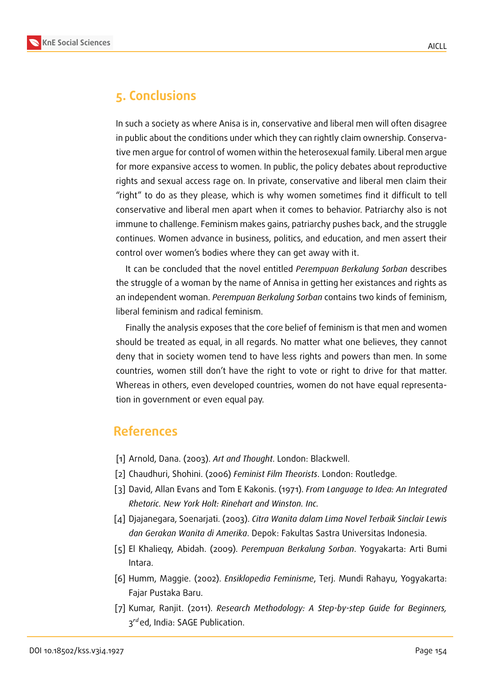



## **5. Conclusions**

In such a society as where Anisa is in, conservative and liberal men will often disagree in public about the conditions under which they can rightly claim ownership. Conservative men argue for control of women within the heterosexual family. Liberal men argue for more expansive access to women. In public, the policy debates about reproductive rights and sexual access rage on. In private, conservative and liberal men claim their "right" to do as they please, which is why women sometimes find it difficult to tell conservative and liberal men apart when it comes to behavior. Patriarchy also is not immune to challenge. Feminism makes gains, patriarchy pushes back, and the struggle continues. Women advance in business, politics, and education, and men assert their control over women's bodies where they can get away with it.

It can be concluded that the novel entitled *Perempuan Berkalung Sorban* describes the struggle of a woman by the name of Annisa in getting her existances and rights as an independent woman. *Perempuan Berkalung Sorban* contains two kinds of feminism, liberal feminism and radical feminism.

Finally the analysis exposes that the core belief of feminism is that men and women should be treated as equal, in all regards. No matter what one believes, they cannot deny that in society women tend to have less rights and powers than men. In some countries, women still don't have the right to vote or right to drive for that matter. Whereas in others, even developed countries, women do not have equal representation in government or even equal pay.

### **References**

- [1] Arnold, Dana. (2003). *Art and Thought*. London: Blackwell.
- [2] Chaudhuri, Shohini. (2006) *Feminist Film Theorists*. London: Routledge.
- [3] David, Allan Evans and Tom E Kakonis. (1971). *From Language to Idea: An Integrated Rhetoric. New York Holt: Rinehart and Winston. Inc.*
- [4] Djajanegara, Soenarjati. (2003). *Citra Wanita dalam Lima Novel Terbaik Sinclair Lewis dan Gerakan Wanita di Amerika*. Depok: Fakultas Sastra Universitas Indonesia.
- [5] El Khalieqy, Abidah. (2009). *Perempuan Berkalung Sorban*. Yogyakarta: Arti Bumi Intara.
- [6] Humm, Maggie. (2002). *Ensiklopedia Feminisme*, Terj. Mundi Rahayu, Yogyakarta: Fajar Pustaka Baru.
- [7] Kumar, Ranjit. (2011). *Research Methodology: A Step-by-step Guide for Beginners,* 3<sup>rd</sup>ed, India: SAGE Publication.